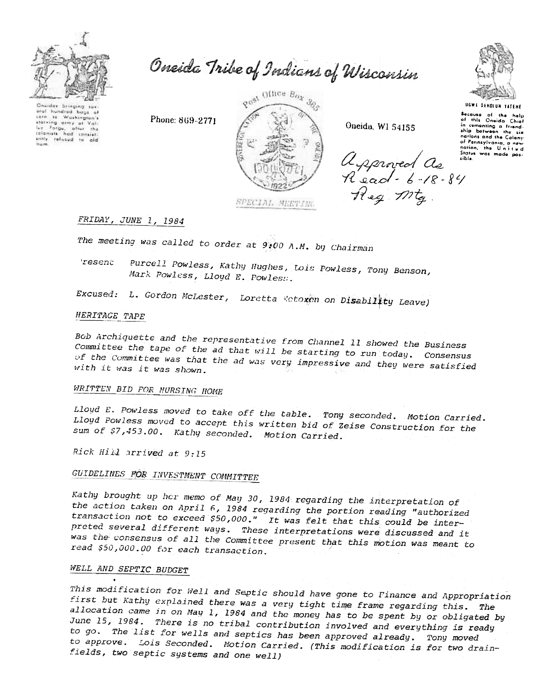

Oneida Tribe of Indians of Wisconsin

Oneidas bringing sur hundred bags of  $401$ torn to Washington's ley Forge, after the antly refused to

Phone: 869-2771



Oneida, WI 54155

approved de in Reg Mtg.

# FRIDAY, JUNE 1, 1984

The meeting was called to order at 9:00 A.M. by Chairman

'resent Purcell Powless, Kathy Hughes, Lois Powless, Tony Benson, Mark Powless, Lloyd E. Powless.

Excused: L. Gordon McLester, Loretta Wetoxen on Disability Leave)

## HERITAGE TAPE

Bob Archiquette and the representative from Channel 11 showed the Business Committee the tape of the ad that will be starting to run today. Consensus of the Committee was that the ad was very impressive and they were satisfied with it was it was shown.

# WRITTEN BID FOR NURSING HOME

Lloyd E. Powless moved to take off the table. Tony seconded. Motion Carried. Lloyd Powless moved to accept this written bid of Zeise Construction for the sum of \$7,453.00. Kathy seconded. Motion Carried.

Rick Hill arrived at 9:15

# **GUIDELINES FOR INVESTMENT COMMITTEE**

Kathy brought up her memo of May 30, 1984 regarding the interpretation of the action taken on April 6, 1984 regarding the portion reading "authorized transaction not to exceed \$50,000." It was felt that this could be interpreted several different ways. These interpretations were discussed and it was the consensus of all the Committee present that this motion was meant to read \$50,000.00 for each transaction.

# WELL AND SEPTIC BUDGET

This modification for Well and Septic should have gone to Finance and Appropriation first but Kathy explained there was a very tight time frame regarding this. The allocation came in on May 1, 1984 and the money has to be spent by or obligated by June 15, 1984. There is no tribal contribution involved and everything is ready to go. The list for wells and septics has been approved already. Tony moved to approve. Lois Seconded. Motion Carried. (This modification is for two drainfields, two septic systems and one well)



**UGWA DENOLUN TATENE** Secause of the help<br>of this Oneida Chief

in comenting a friend. nations and the Calony of Ponnsylvania, a new<br>nation, the United<br>States was made pos-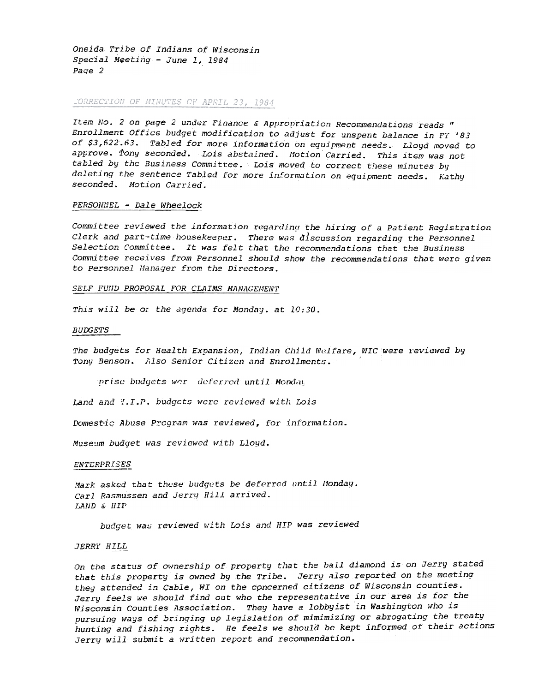Oneida Tribe of Indians of Wisconsin Special Meeting - June 1, 1984 Page 2

## CORRECTION OF MINUTES OF APRIL 23, 1984

Item No. 2 on page 2 under Finance & Appropriation Recommendations reads " Enrollment Office budget modification to adjust for unspent balance in FY '83 of \$3,622.63. Tabled for more information on equipment needs. Lloyd moved to approve. Tony seconded. Lois abstained. Motion Carried. This item was not tabled by the Business Committee. Lois moved to correct these minutes by deleting the sentence Tabled for more information on equipment needs. Kathy seconded. Motion Carried.

#### PERSONNEL - Dale Wheelock

Committee reviewed the information regarding the hiring of a Patient Registration Clerk and part-time housekeeper. There was discussion regarding the Personnel Selection Committee. It was felt that the recommendations that the Business Committee receives from Personnel should show the recommendations that were given to Personnel Manager from the Directors.

## SELF FUND PROPOSAL FOR CLAIMS MANAGEMENT

This will be or the agenda for Monday. at 10:30.

#### *BUDGETS*

The budgets for Health Expansion, Indian Child Welfare, WIC were reviewed by Tony Benson. Also Senior Citizen and Enrollments.

prise budgets wer deferred until Monday

Land and I.I.P. budgets were reviewed with Lois

Domestic Abuse Program was reviewed, for information.

Museum budget was reviewed with Lloyd.

## **ENTERPRISES**

Mark asked that these budgets be deferred until Monday. Carl Rasmussen and Jerry Hill arrived. LAND & HIP

budget was reviewed with Lois and HIP was reviewed

#### **JERRY HILL**

On the status of ownership of property that the ball diamond is on Jerry stated that this property is owned by the Tribe. Jerry also reported on the meeting they attended in Cable, WI on the concerned citizens of Wisconsin counties. Jerry feels we should find out who the representative in our area is for the Wisconsin Counties Association. They have a lobbyist in Washington who is pursuing ways of bringing up legislation of mimimizing or abrogating the treaty hunting and fishing rights. He feels we should be kept informed of their actions Jerry will submit a written report and recommendation.